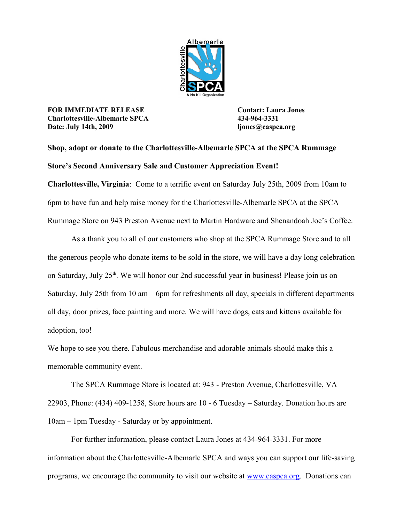

**FOR IMMEDIATE RELEASE Contact: Laura Jones Charlottesville-Albemarle SPCA 434-964-3331 Date: July 14th, 2009 ljones@caspca.org**

## **Shop, adopt or donate to the Charlottesville-Albemarle SPCA at the SPCA Rummage Store's Second Anniversary Sale and Customer Appreciation Event!**

**Charlottesville, Virginia**: Come to a terrific event on Saturday July 25th, 2009 from 10am to 6pm to have fun and help raise money for the Charlottesville-Albemarle SPCA at the SPCA Rummage Store on 943 Preston Avenue next to Martin Hardware and Shenandoah Joe's Coffee.

As a thank you to all of our customers who shop at the SPCA Rummage Store and to all the generous people who donate items to be sold in the store, we will have a day long celebration on Saturday, July 25<sup>th</sup>. We will honor our 2nd successful year in business! Please join us on Saturday, July 25th from 10 am – 6pm for refreshments all day, specials in different departments all day, door prizes, face painting and more. We will have dogs, cats and kittens available for adoption, too!

We hope to see you there. Fabulous merchandise and adorable animals should make this a memorable community event.

The SPCA Rummage Store is located at: 943 - Preston Avenue, Charlottesville, VA 22903, Phone: (434) 409-1258, Store hours are 10 - 6 Tuesday – Saturday. Donation hours are 10am – 1pm Tuesday - Saturday or by appointment.

For further information, please contact Laura Jones at 434-964-3331. For more information about the Charlottesville-Albemarle SPCA and ways you can support our life-saving programs, we encourage the community to visit our website at [www.caspca.org.](http://www.caspca.org/) Donations can